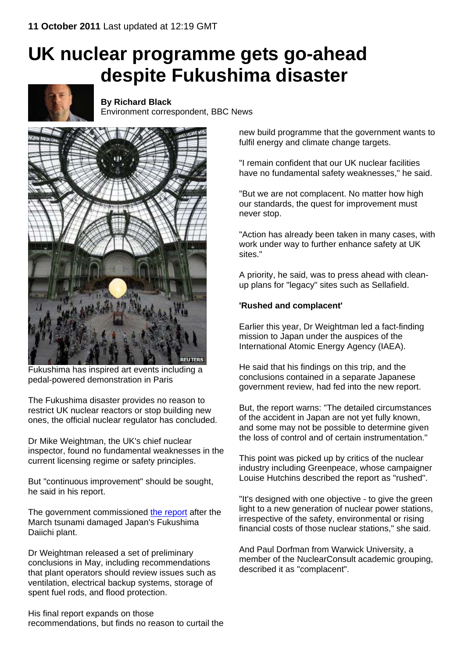## **UK nuclear programme gets go-ahead despite Fukushima disaster**



**By Richard Black**  Environment correspondent, BBC News



Fukushima has inspired art events including a pedal-powered demonstration in Paris

The Fukushima disaster provides no reason to restrict UK nuclear reactors or stop building new ones, the official nuclear regulator has concluded.

Dr Mike Weightman, the UK's chief nuclear inspector, found no fundamental weaknesses in the current licensing regime or safety principles.

But "continuous improvement" should be sought, he said in his report.

The government commissioned [the report](http://www.hse.gov.uk/nuclear/fukushima/final-report.htm) after the March tsunami damaged Japan's Fukushima Daiichi plant.

Dr Weightman released a set of preliminary conclusions in May, including recommendations that plant operators should review issues such as ventilation, electrical backup systems, storage of spent fuel rods, and flood protection.

His final report expands on those recommendations, but finds no reason to curtail the new build programme that the government wants to fulfil energy and climate change targets.

"I remain confident that our UK nuclear facilities have no fundamental safety weaknesses," he said.

"But we are not complacent. No matter how high our standards, the quest for improvement must never stop.

"Action has already been taken in many cases, with work under way to further enhance safety at UK sites."

A priority, he said, was to press ahead with cleanup plans for "legacy" sites such as Sellafield.

## **'Rushed and complacent'**

Earlier this year, Dr Weightman led a fact-finding mission to Japan under the auspices of the International Atomic Energy Agency (IAEA).

He said that his findings on this trip, and the conclusions contained in a separate Japanese government review, had fed into the new report.

But, the report warns: "The detailed circumstances of the accident in Japan are not yet fully known, and some may not be possible to determine given the loss of control and of certain instrumentation."

This point was picked up by critics of the nuclear industry including Greenpeace, whose campaigner Louise Hutchins described the report as "rushed".

"It's designed with one objective - to give the green light to a new generation of nuclear power stations, irrespective of the safety, environmental or rising financial costs of those nuclear stations," she said.

And Paul Dorfman from Warwick University, a member of the NuclearConsult academic grouping, described it as "complacent".